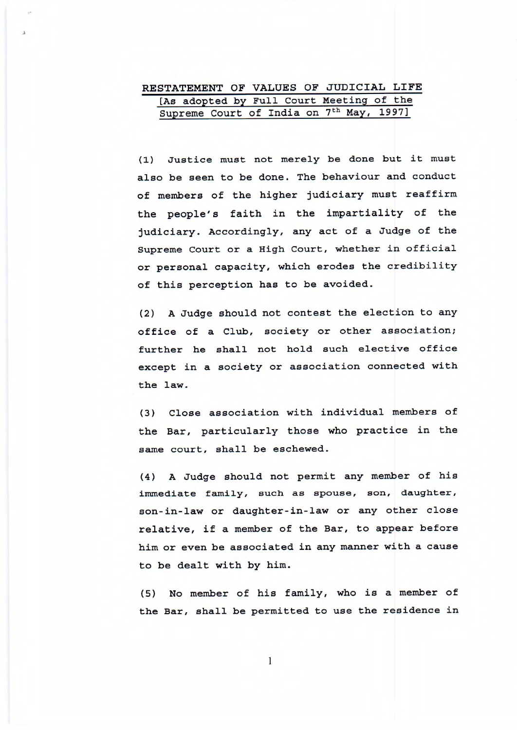## **RESTATEMENT OF VALUES OF JUDICIAL LIFE**  [As adopted by Full Court Meeting of the Supreme Court of India on 7<sup>th</sup> May, 1997]

(1) Justice must not merely be done but it must also be seen to be done. The behaviour and conduct of members of the higher judiciary must reaffirm the people's faith in the impartiality of the judiciary. Accordingly, any act of a Judge of the Supreme Court or a High Court, whether in official or personal capacity, which erodes the credibility of this perception has to be avoided.

(2) A Judge should not contest the election to any office of a Club, society or other association; further he shall not hold such elective office except in a society or association connected with the **law.** 

(3) Close association with individual members of the Bar, particularly those who practice in the same court, shall be eschewed.

(4) A Judge should not permit any member of his immediate family, such as spouse, son, daughter, son- in-law or daughter-in-law or any other close relative, if a member of the Bar, to appear before him or even be associated in any manner with a cause to be dealt with by him.

(5) No member of his family, who is a member of the Bar, shall be permitted to use the residence in

 $\mathbf{1}$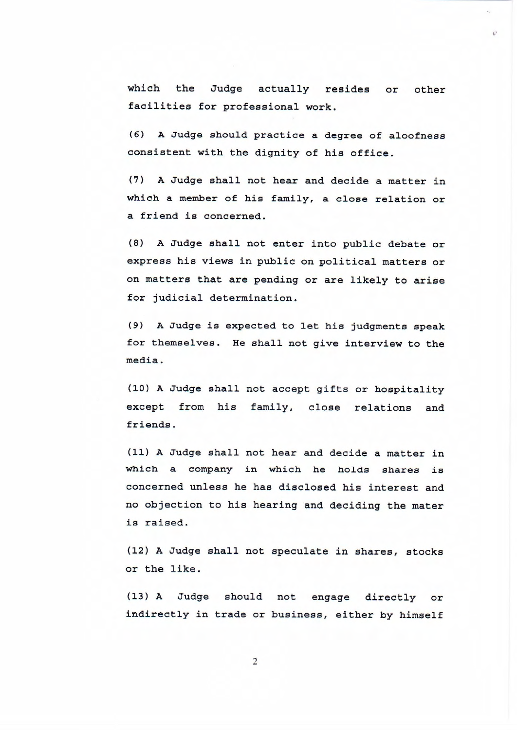which the Judge actually resides or other facilities for professional work.

 $\mathcal{C}^*$ 

(6) A Judge should practice a degree of aloofness consistent with the dignity of his office.

(7) A Judge shall not hear and decide a matter in which a member of his family, a close relation or a friend is concerned.

(8) A Judge shall not enter into public debate or express his views in public on political matters or on matters that are pending or are likely to arise for judicial determination.

(9) A Judge is expected to let his judgments speak for themselves. He shall not give interview to the media.

(10) A Judge shall not accept gifts or hospitality except from his family, close relations and friends .

(11) A Judge shall not hear and decide a matter in which a company in which he holds shares is concerned unless he has disclosed his interest and no objection to his hearing and deciding the mater is raised.

(12) A Judge shall not speculate in shares, stocks or the like.

(13) A Judge should not engage directly or indirectly in trade or business, either by himself

2